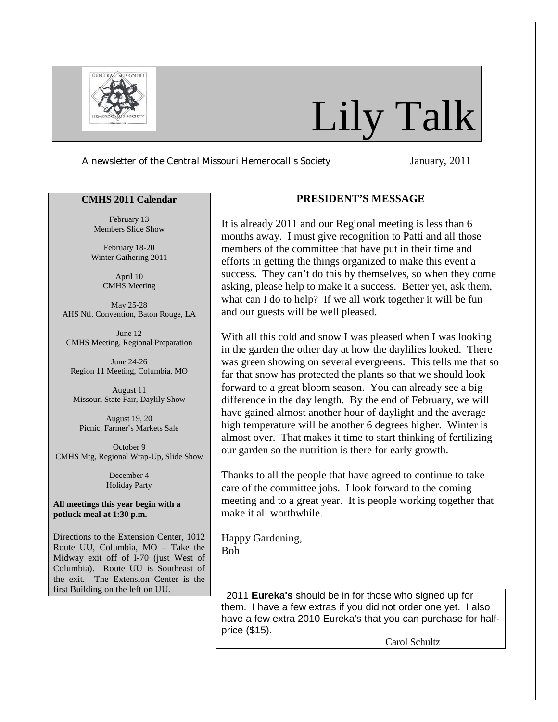

# Lily Talk

*A newsletter of the Central Missouri Hemerocallis Society* January, 2011

#### **CMHS 2011 Calendar**

February 13 Members Slide Show

February 18-20 Winter Gathering 2011

> April 10 CMHS Meeting

May 25-28 AHS Ntl. Convention, Baton Rouge, LA

June 12 CMHS Meeting, Regional Preparation

June 24-26 Region 11 Meeting, Columbia, MO

August 11 Missouri State Fair, Daylily Show

August 19, 20 Picnic, Farmer's Markets Sale

October 9 CMHS Mtg, Regional Wrap-Up, Slide Show

> December 4 Holiday Party

**All meetings this year begin with a potluck meal at 1:30 p.m.** 

Directions to the Extension Center, 1012 Route UU, Columbia, MO – Take the Midway exit off of I-70 (just West of Columbia). Route UU is Southeast of the exit. The Extension Center is the first Building on the left on UU.

# **PRESIDENT'S MESSAGE**

It is already 2011 and our Regional meeting is less than 6 months away. I must give recognition to Patti and all those members of the committee that have put in their time and efforts in getting the things organized to make this event a success. They can't do this by themselves, so when they come asking, please help to make it a success. Better yet, ask them, what can I do to help? If we all work together it will be fun and our guests will be well pleased.

With all this cold and snow I was pleased when I was looking in the garden the other day at how the daylilies looked. There was green showing on several evergreens. This tells me that so far that snow has protected the plants so that we should look forward to a great bloom season. You can already see a big difference in the day length. By the end of February, we will have gained almost another hour of daylight and the average high temperature will be another 6 degrees higher. Winter is almost over. That makes it time to start thinking of fertilizing our garden so the nutrition is there for early growth.

Thanks to all the people that have agreed to continue to take care of the committee jobs. I look forward to the coming meeting and to a great year. It is people working together that make it all worthwhile.

Happy Gardening, Bob

 2011 **Eureka's** should be in for those who signed up for them. I have a few extras if you did not order one yet. I also have a few extra 2010 Eureka's that you can purchase for halfprice (\$15).

Carol Schultz